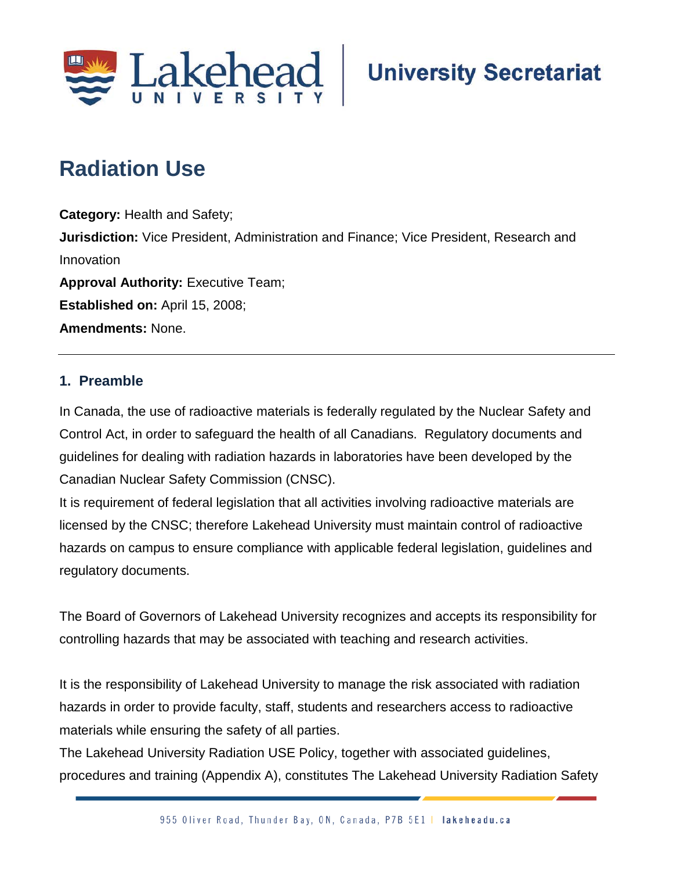

# **Radiation Use**

**Category:** Health and Safety; **Jurisdiction:** Vice President, Administration and Finance; Vice President, Research and Innovation **Approval Authority: Executive Team; Established on:** April 15, 2008; **Amendments:** None.

# **1. Preamble**

In Canada, the use of radioactive materials is federally regulated by the Nuclear Safety and Control Act, in order to safeguard the health of all Canadians. Regulatory documents and guidelines for dealing with radiation hazards in laboratories have been developed by the Canadian Nuclear Safety Commission (CNSC).

It is requirement of federal legislation that all activities involving radioactive materials are licensed by the CNSC; therefore Lakehead University must maintain control of radioactive hazards on campus to ensure compliance with applicable federal legislation, guidelines and regulatory documents.

The Board of Governors of Lakehead University recognizes and accepts its responsibility for controlling hazards that may be associated with teaching and research activities.

It is the responsibility of Lakehead University to manage the risk associated with radiation hazards in order to provide faculty, staff, students and researchers access to radioactive materials while ensuring the safety of all parties.

The Lakehead University Radiation USE Policy, together with associated guidelines, procedures and training (Appendix A), constitutes The Lakehead University Radiation Safety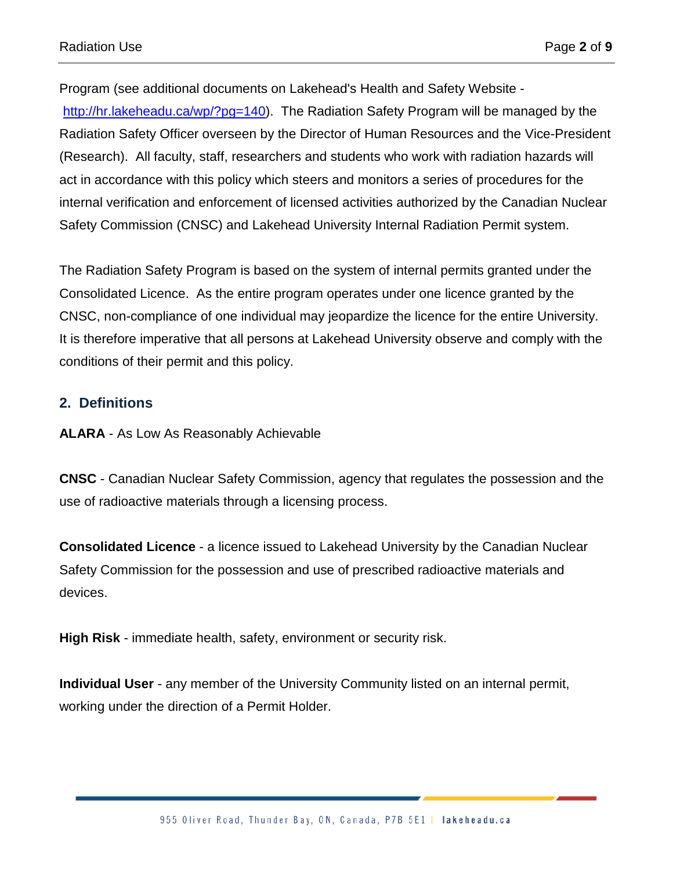Program (see additional documents on Lakehead's Health and Safety Website [http://hr.lakeheadu.ca/wp/?pg=140\)](http://hr.lakeheadu.ca/wp/?pg=140). The Radiation Safety Program will be managed by the Radiation Safety Officer overseen by the Director of Human Resources and the Vice-President (Research). All faculty, staff, researchers and students who work with radiation hazards will act in accordance with this policy which steers and monitors a series of procedures for the internal verification and enforcement of licensed activities authorized by the Canadian Nuclear Safety Commission (CNSC) and Lakehead University Internal Radiation Permit system.

The Radiation Safety Program is based on the system of internal permits granted under the Consolidated Licence. As the entire program operates under one licence granted by the CNSC, non-compliance of one individual may jeopardize the licence for the entire University. It is therefore imperative that all persons at Lakehead University observe and comply with the conditions of their permit and this policy.

## **2. Definitions**

**ALARA** - As Low As Reasonably Achievable

**CNSC** - Canadian Nuclear Safety Commission, agency that regulates the possession and the use of radioactive materials through a licensing process.

**Consolidated Licence** - a licence issued to Lakehead University by the Canadian Nuclear Safety Commission for the possession and use of prescribed radioactive materials and devices.

**High Risk** - immediate health, safety, environment or security risk.

**Individual User** - any member of the University Community listed on an internal permit, working under the direction of a Permit Holder.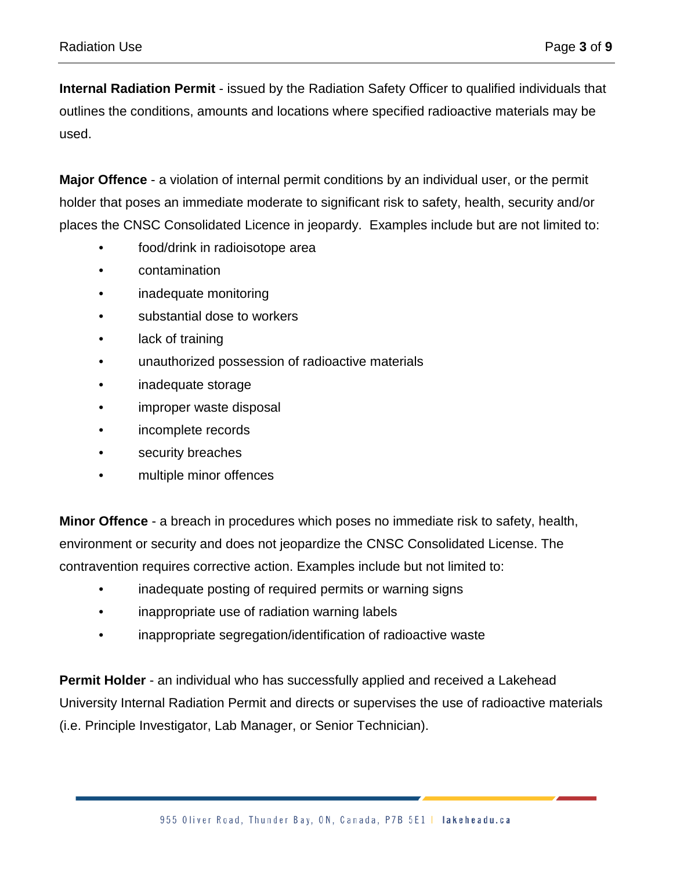**Internal Radiation Permit** - issued by the Radiation Safety Officer to qualified individuals that outlines the conditions, amounts and locations where specified radioactive materials may be used.

**Major Offence** - a violation of internal permit conditions by an individual user, or the permit holder that poses an immediate moderate to significant risk to safety, health, security and/or places the CNSC Consolidated Licence in jeopardy. Examples include but are not limited to:

- food/drink in radioisotope area
- contamination
- inadequate monitoring
- substantial dose to workers
- lack of training
- unauthorized possession of radioactive materials
- inadequate storage
- improper waste disposal
- incomplete records
- security breaches
- multiple minor offences

**Minor Offence** - a breach in procedures which poses no immediate risk to safety, health, environment or security and does not jeopardize the CNSC Consolidated License. The contravention requires corrective action. Examples include but not limited to:

- inadequate posting of required permits or warning signs
- inappropriate use of radiation warning labels
- inappropriate segregation/identification of radioactive waste

**Permit Holder** - an individual who has successfully applied and received a Lakehead University Internal Radiation Permit and directs or supervises the use of radioactive materials (i.e. Principle Investigator, Lab Manager, or Senior Technician).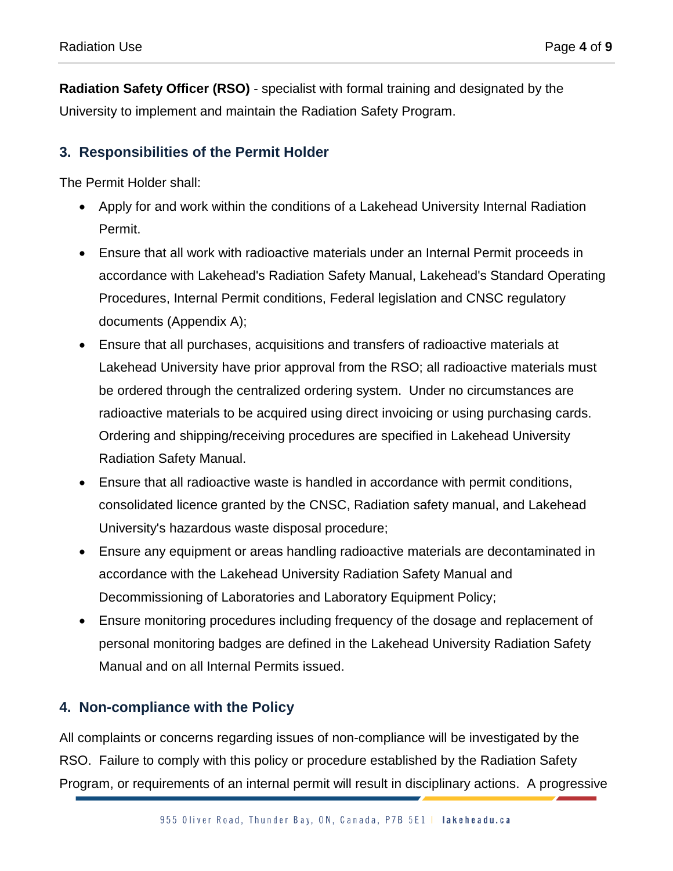**Radiation Safety Officer (RSO)** - specialist with formal training and designated by the University to implement and maintain the Radiation Safety Program.

# **3. Responsibilities of the Permit Holder**

The Permit Holder shall:

- Apply for and work within the conditions of a Lakehead University Internal Radiation Permit.
- Ensure that all work with radioactive materials under an Internal Permit proceeds in accordance with Lakehead's Radiation Safety Manual, Lakehead's Standard Operating Procedures, Internal Permit conditions, Federal legislation and CNSC regulatory documents (Appendix A);
- Ensure that all purchases, acquisitions and transfers of radioactive materials at Lakehead University have prior approval from the RSO; all radioactive materials must be ordered through the centralized ordering system. Under no circumstances are radioactive materials to be acquired using direct invoicing or using purchasing cards. Ordering and shipping/receiving procedures are specified in Lakehead University Radiation Safety Manual.
- Ensure that all radioactive waste is handled in accordance with permit conditions, consolidated licence granted by the CNSC, Radiation safety manual, and Lakehead University's hazardous waste disposal procedure;
- Ensure any equipment or areas handling radioactive materials are decontaminated in accordance with the Lakehead University Radiation Safety Manual and Decommissioning of Laboratories and Laboratory Equipment Policy;
- Ensure monitoring procedures including frequency of the dosage and replacement of personal monitoring badges are defined in the Lakehead University Radiation Safety Manual and on all Internal Permits issued.

# **4. Non-compliance with the Policy**

All complaints or concerns regarding issues of non-compliance will be investigated by the RSO. Failure to comply with this policy or procedure established by the Radiation Safety Program, or requirements of an internal permit will result in disciplinary actions. A progressive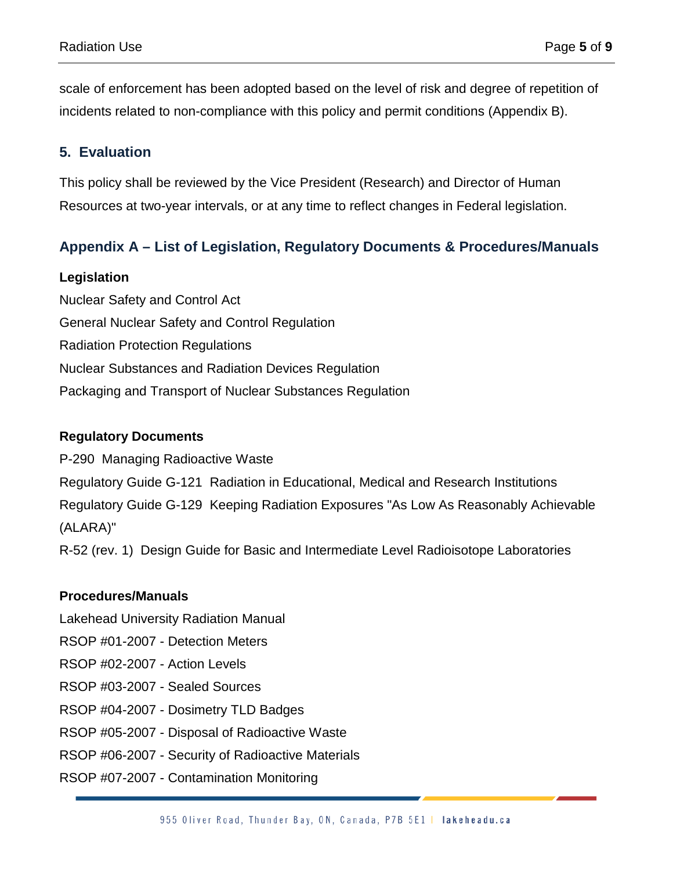scale of enforcement has been adopted based on the level of risk and degree of repetition of incidents related to non-compliance with this policy and permit conditions (Appendix B).

## **5. Evaluation**

This policy shall be reviewed by the Vice President (Research) and Director of Human Resources at two-year intervals, or at any time to reflect changes in Federal legislation.

# **Appendix A – List of Legislation, Regulatory Documents & Procedures/Manuals**

#### **Legislation**

Nuclear Safety and Control Act General Nuclear Safety and Control Regulation Radiation Protection Regulations Nuclear Substances and Radiation Devices Regulation Packaging and Transport of Nuclear Substances Regulation

#### **Regulatory Documents**

P-290 Managing Radioactive Waste Regulatory Guide G-121 Radiation in Educational, Medical and Research Institutions Regulatory Guide G-129 Keeping Radiation Exposures "As Low As Reasonably Achievable (ALARA)"

R-52 (rev. 1) Design Guide for Basic and Intermediate Level Radioisotope Laboratories

### **Procedures/Manuals**

Lakehead University Radiation Manual

- RSOP #01-2007 Detection Meters
- RSOP #02-2007 Action Levels
- RSOP #03-2007 Sealed Sources
- RSOP #04-2007 Dosimetry TLD Badges
- RSOP #05-2007 Disposal of Radioactive Waste
- RSOP #06-2007 Security of Radioactive Materials
- RSOP #07-2007 Contamination Monitoring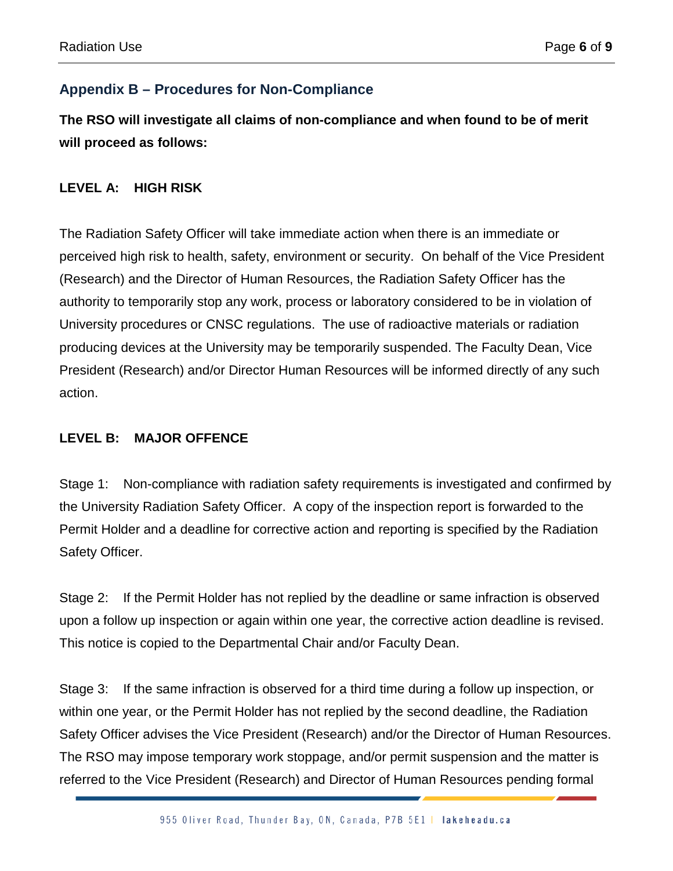# **Appendix B – Procedures for Non-Compliance**

**The RSO will investigate all claims of non-compliance and when found to be of merit will proceed as follows:**

## **LEVEL A: HIGH RISK**

The Radiation Safety Officer will take immediate action when there is an immediate or perceived high risk to health, safety, environment or security. On behalf of the Vice President (Research) and the Director of Human Resources, the Radiation Safety Officer has the authority to temporarily stop any work, process or laboratory considered to be in violation of University procedures or CNSC regulations. The use of radioactive materials or radiation producing devices at the University may be temporarily suspended. The Faculty Dean, Vice President (Research) and/or Director Human Resources will be informed directly of any such action.

## **LEVEL B: MAJOR OFFENCE**

Stage 1: Non-compliance with radiation safety requirements is investigated and confirmed by the University Radiation Safety Officer. A copy of the inspection report is forwarded to the Permit Holder and a deadline for corrective action and reporting is specified by the Radiation Safety Officer.

Stage 2: If the Permit Holder has not replied by the deadline or same infraction is observed upon a follow up inspection or again within one year, the corrective action deadline is revised. This notice is copied to the Departmental Chair and/or Faculty Dean.

Stage 3: If the same infraction is observed for a third time during a follow up inspection, or within one year, or the Permit Holder has not replied by the second deadline, the Radiation Safety Officer advises the Vice President (Research) and/or the Director of Human Resources. The RSO may impose temporary work stoppage, and/or permit suspension and the matter is referred to the Vice President (Research) and Director of Human Resources pending formal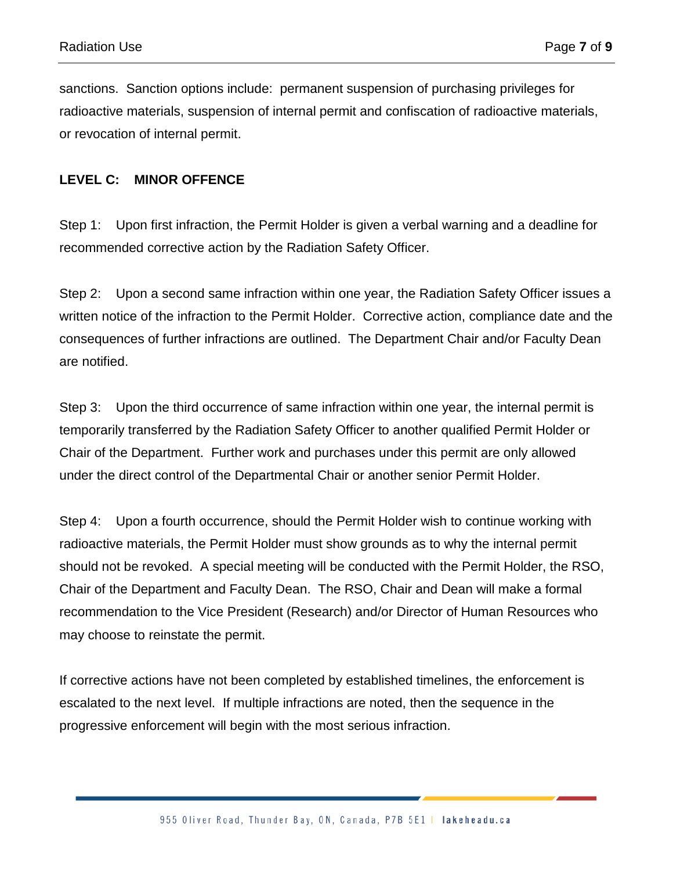sanctions. Sanction options include: permanent suspension of purchasing privileges for radioactive materials, suspension of internal permit and confiscation of radioactive materials, or revocation of internal permit.

#### **LEVEL C: MINOR OFFENCE**

Step 1: Upon first infraction, the Permit Holder is given a verbal warning and a deadline for recommended corrective action by the Radiation Safety Officer.

Step 2: Upon a second same infraction within one year, the Radiation Safety Officer issues a written notice of the infraction to the Permit Holder. Corrective action, compliance date and the consequences of further infractions are outlined. The Department Chair and/or Faculty Dean are notified.

Step 3: Upon the third occurrence of same infraction within one year, the internal permit is temporarily transferred by the Radiation Safety Officer to another qualified Permit Holder or Chair of the Department. Further work and purchases under this permit are only allowed under the direct control of the Departmental Chair or another senior Permit Holder.

Step 4: Upon a fourth occurrence, should the Permit Holder wish to continue working with radioactive materials, the Permit Holder must show grounds as to why the internal permit should not be revoked. A special meeting will be conducted with the Permit Holder, the RSO, Chair of the Department and Faculty Dean. The RSO, Chair and Dean will make a formal recommendation to the Vice President (Research) and/or Director of Human Resources who may choose to reinstate the permit.

If corrective actions have not been completed by established timelines, the enforcement is escalated to the next level. If multiple infractions are noted, then the sequence in the progressive enforcement will begin with the most serious infraction.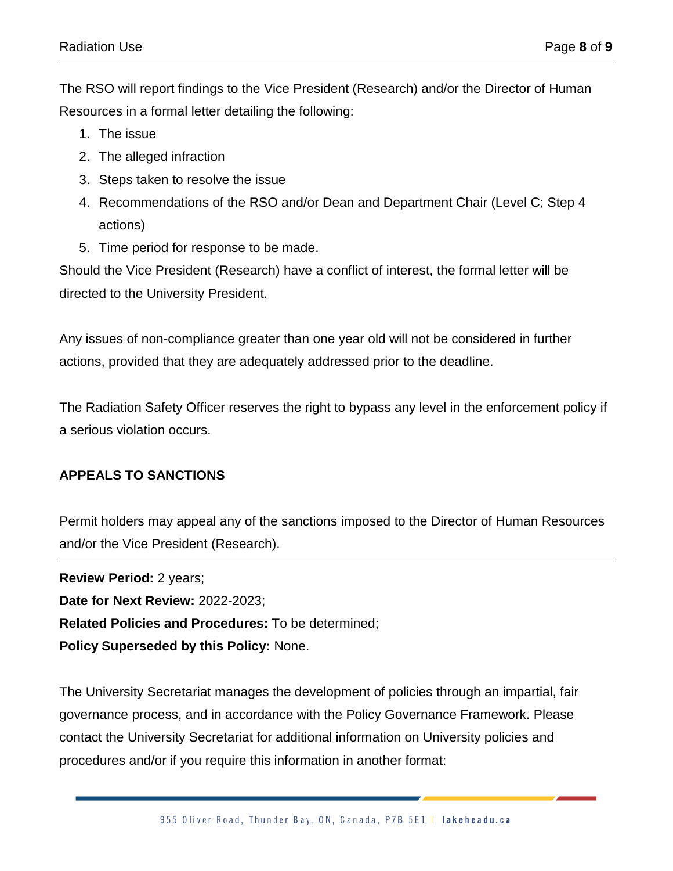The RSO will report findings to the Vice President (Research) and/or the Director of Human Resources in a formal letter detailing the following:

- 1. The issue
- 2. The alleged infraction
- 3. Steps taken to resolve the issue
- 4. Recommendations of the RSO and/or Dean and Department Chair (Level C; Step 4 actions)
- 5. Time period for response to be made.

Should the Vice President (Research) have a conflict of interest, the formal letter will be directed to the University President.

Any issues of non-compliance greater than one year old will not be considered in further actions, provided that they are adequately addressed prior to the deadline.

The Radiation Safety Officer reserves the right to bypass any level in the enforcement policy if a serious violation occurs.

## **APPEALS TO SANCTIONS**

Permit holders may appeal any of the sanctions imposed to the Director of Human Resources and/or the Vice President (Research).

**Review Period:** 2 years; **Date for Next Review:** 2022-2023; **Related Policies and Procedures:** To be determined; **Policy Superseded by this Policy:** None.

The University Secretariat manages the development of policies through an impartial, fair governance process, and in accordance with the Policy Governance Framework. Please contact the University Secretariat for additional information on University policies and procedures and/or if you require this information in another format: